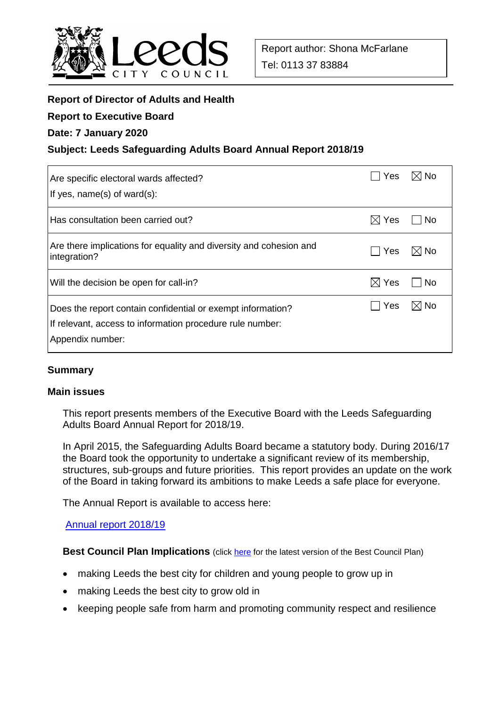

# **Report of Director of Adults and Health**

#### **Report to Executive Board**

### **Date: 7 January 2020**

### **Subject: Leeds Safeguarding Adults Board Annual Report 2018/19**

| Are specific electoral wards affected?<br>If yes, $name(s)$ of ward $(s)$ :                                                                  | Yes             | $\boxtimes$ l No |
|----------------------------------------------------------------------------------------------------------------------------------------------|-----------------|------------------|
| Has consultation been carried out?                                                                                                           | $\boxtimes$ Yes | No               |
| Are there implications for equality and diversity and cohesion and<br>integration?                                                           | l Yes           | $\boxtimes$ No   |
| Will the decision be open for call-in?                                                                                                       | $\boxtimes$ Yes | l No             |
| Does the report contain confidential or exempt information?<br>If relevant, access to information procedure rule number:<br>Appendix number: | Yes             | ⊠ No             |

### **Summary**

#### **Main issues**

This report presents members of the Executive Board with the Leeds Safeguarding Adults Board Annual Report for 2018/19.

In April 2015, the Safeguarding Adults Board became a statutory body. During 2016/17 the Board took the opportunity to undertake a significant review of its membership, structures, sub-groups and future priorities. This report provides an update on the work of the Board in taking forward its ambitions to make Leeds a safe place for everyone.

The Annual Report is available to access here:

### [Annual report 2018/19](https://leedssafeguardingadults.org.uk/Documents/Board/Safeguarding%20Adults%20Board,%20Annual%20Report%202019_FINAL.pdf)

**Best Council Plan Implications** (click [here](https://www.leeds.gov.uk/your-council/plans-and-strategies/council-plans) for the latest version of the Best Council Plan)

- making Leeds the best city for children and young people to grow up in
- making Leeds the best city to grow old in
- keeping people safe from harm and promoting community respect and resilience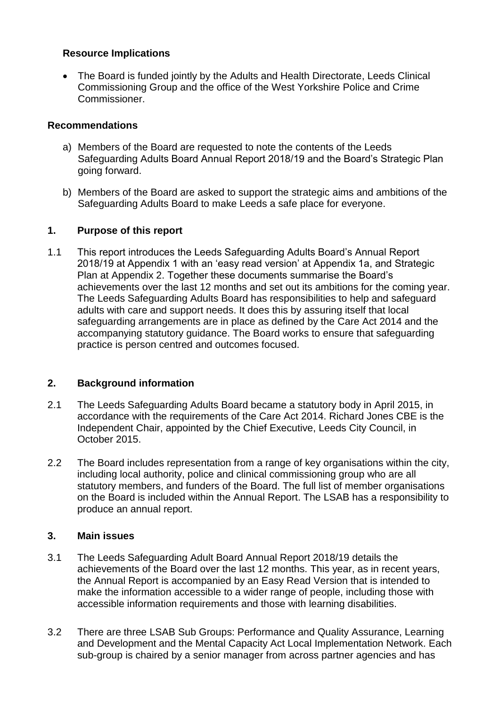# **Resource Implications**

 The Board is funded jointly by the Adults and Health Directorate, Leeds Clinical Commissioning Group and the office of the West Yorkshire Police and Crime Commissioner.

# **Recommendations**

- a) Members of the Board are requested to note the contents of the Leeds Safeguarding Adults Board Annual Report 2018/19 and the Board's Strategic Plan going forward.
- b) Members of the Board are asked to support the strategic aims and ambitions of the Safeguarding Adults Board to make Leeds a safe place for everyone.

# **1. Purpose of this report**

1.1 This report introduces the Leeds Safeguarding Adults Board's Annual Report 2018/19 at Appendix 1 with an 'easy read version' at Appendix 1a, and Strategic Plan at Appendix 2. Together these documents summarise the Board's achievements over the last 12 months and set out its ambitions for the coming year. The Leeds Safeguarding Adults Board has responsibilities to help and safeguard adults with care and support needs. It does this by assuring itself that local safeguarding arrangements are in place as defined by the Care Act 2014 and the accompanying statutory guidance. The Board works to ensure that safeguarding practice is person centred and outcomes focused.

# **2. Background information**

- 2.1 The Leeds Safeguarding Adults Board became a statutory body in April 2015, in accordance with the requirements of the Care Act 2014. Richard Jones CBE is the Independent Chair, appointed by the Chief Executive, Leeds City Council, in October 2015.
- 2.2 The Board includes representation from a range of key organisations within the city, including local authority, police and clinical commissioning group who are all statutory members, and funders of the Board. The full list of member organisations on the Board is included within the Annual Report. The LSAB has a responsibility to produce an annual report.

# **3. Main issues**

- 3.1 The Leeds Safeguarding Adult Board Annual Report 2018/19 details the achievements of the Board over the last 12 months. This year, as in recent years, the Annual Report is accompanied by an Easy Read Version that is intended to make the information accessible to a wider range of people, including those with accessible information requirements and those with learning disabilities.
- 3.2 There are three LSAB Sub Groups: Performance and Quality Assurance, Learning and Development and the Mental Capacity Act Local Implementation Network. Each sub-group is chaired by a senior manager from across partner agencies and has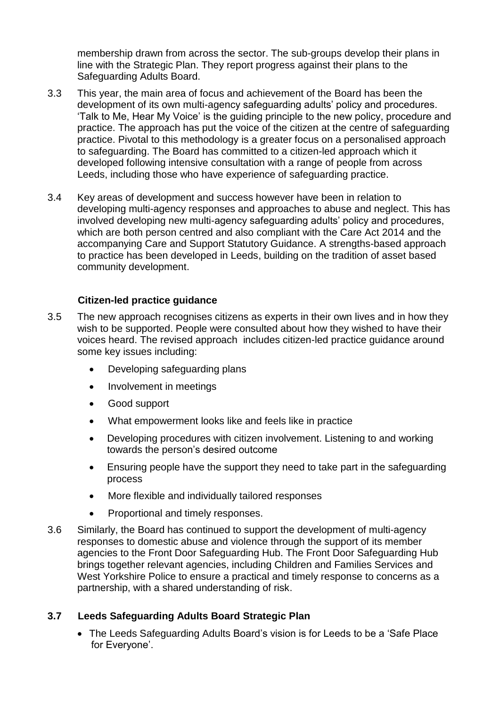membership drawn from across the sector. The sub-groups develop their plans in line with the Strategic Plan. They report progress against their plans to the Safeguarding Adults Board.

- 3.3 This year, the main area of focus and achievement of the Board has been the development of its own multi-agency safeguarding adults' policy and procedures. 'Talk to Me, Hear My Voice' is the guiding principle to the new policy, procedure and practice. The approach has put the voice of the citizen at the centre of safeguarding practice. Pivotal to this methodology is a greater focus on a personalised approach to safeguarding. The Board has committed to a citizen-led approach which it developed following intensive consultation with a range of people from across Leeds, including those who have experience of safeguarding practice.
- 3.4 Key areas of development and success however have been in relation to developing multi-agency responses and approaches to abuse and neglect. This has involved developing new multi-agency safeguarding adults' policy and procedures, which are both person centred and also compliant with the Care Act 2014 and the accompanying Care and Support Statutory Guidance. A strengths-based approach to practice has been developed in Leeds, building on the tradition of asset based community development.

# **Citizen-led practice guidance**

- 3.5 The new approach recognises citizens as experts in their own lives and in how they wish to be supported. People were consulted about how they wished to have their voices heard. The revised approach includes citizen-led practice guidance around some key issues including:
	- Developing safeguarding plans
	- Involvement in meetings
	- Good support
	- What empowerment looks like and feels like in practice
	- Developing procedures with citizen involvement. Listening to and working towards the person's desired outcome
	- Ensuring people have the support they need to take part in the safeguarding process
	- More flexible and individually tailored responses
	- Proportional and timely responses.
- 3.6 Similarly, the Board has continued to support the development of multi-agency responses to domestic abuse and violence through the support of its member agencies to the Front Door Safeguarding Hub. The Front Door Safeguarding Hub brings together relevant agencies, including Children and Families Services and West Yorkshire Police to ensure a practical and timely response to concerns as a partnership, with a shared understanding of risk.

# **3.7 Leeds Safeguarding Adults Board Strategic Plan**

 The Leeds Safeguarding Adults Board's vision is for Leeds to be a 'Safe Place for Everyone'.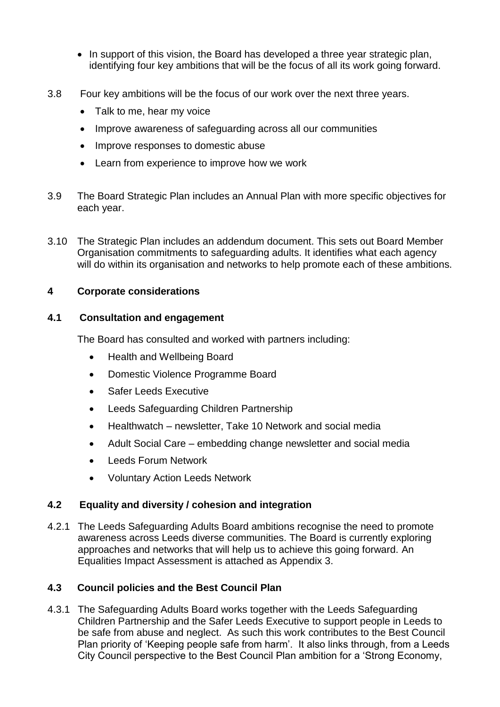- In support of this vision, the Board has developed a three year strategic plan, identifying four key ambitions that will be the focus of all its work going forward.
- 3.8 Four key ambitions will be the focus of our work over the next three years.
	- Talk to me, hear my voice
	- Improve awareness of safeguarding across all our communities
	- Improve responses to domestic abuse
	- Learn from experience to improve how we work
- 3.9 The Board Strategic Plan includes an Annual Plan with more specific objectives for each year.
- 3.10 The Strategic Plan includes an addendum document. This sets out Board Member Organisation commitments to safeguarding adults. It identifies what each agency will do within its organisation and networks to help promote each of these ambitions.

### **4 Corporate considerations**

### **4.1 Consultation and engagement**

The Board has consulted and worked with partners including:

- Health and Wellbeing Board
- Domestic Violence Programme Board
- Safer Leeds Executive
- Leeds Safeguarding Children Partnership
- Healthwatch newsletter, Take 10 Network and social media
- Adult Social Care embedding change newsletter and social media
- Leeds Forum Network
- Voluntary Action Leeds Network

### **4.2 Equality and diversity / cohesion and integration**

4.2.1 The Leeds Safeguarding Adults Board ambitions recognise the need to promote awareness across Leeds diverse communities. The Board is currently exploring approaches and networks that will help us to achieve this going forward. An Equalities Impact Assessment is attached as Appendix 3.

# **4.3 Council policies and the Best Council Plan**

4.3.1 The Safeguarding Adults Board works together with the Leeds Safeguarding Children Partnership and the Safer Leeds Executive to support people in Leeds to be safe from abuse and neglect. As such this work contributes to the Best Council Plan priority of 'Keeping people safe from harm'. It also links through, from a Leeds City Council perspective to the Best Council Plan ambition for a 'Strong Economy,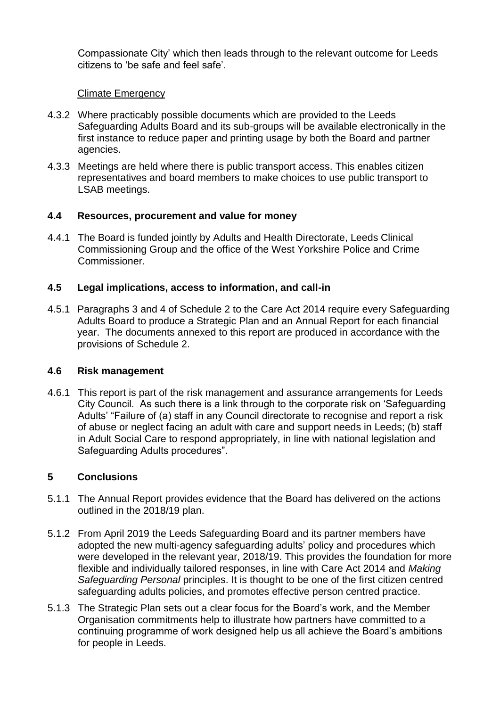Compassionate City' which then leads through to the relevant outcome for Leeds citizens to 'be safe and feel safe'.

### Climate Emergency

- 4.3.2 Where practicably possible documents which are provided to the Leeds Safeguarding Adults Board and its sub-groups will be available electronically in the first instance to reduce paper and printing usage by both the Board and partner agencies.
- 4.3.3 Meetings are held where there is public transport access. This enables citizen representatives and board members to make choices to use public transport to LSAB meetings.

### **4.4 Resources, procurement and value for money**

4.4.1 The Board is funded jointly by Adults and Health Directorate, Leeds Clinical Commissioning Group and the office of the West Yorkshire Police and Crime Commissioner.

### **4.5 Legal implications, access to information, and call-in**

4.5.1 Paragraphs 3 and 4 of Schedule 2 to the Care Act 2014 require every Safeguarding Adults Board to produce a Strategic Plan and an Annual Report for each financial year. The documents annexed to this report are produced in accordance with the provisions of Schedule 2.

### **4.6 Risk management**

4.6.1 This report is part of the risk management and assurance arrangements for Leeds City Council. As such there is a link through to the corporate risk on 'Safeguarding Adults' "Failure of (a) staff in any Council directorate to recognise and report a risk of abuse or neglect facing an adult with care and support needs in Leeds; (b) staff in Adult Social Care to respond appropriately, in line with national legislation and Safeguarding Adults procedures".

### **5 Conclusions**

- 5.1.1 The Annual Report provides evidence that the Board has delivered on the actions outlined in the 2018/19 plan.
- 5.1.2 From April 2019 the Leeds Safeguarding Board and its partner members have adopted the new multi-agency safeguarding adults' policy and procedures which were developed in the relevant year, 2018/19. This provides the foundation for more flexible and individually tailored responses, in line with Care Act 2014 and *Making Safeguarding Personal* principles. It is thought to be one of the first citizen centred safeguarding adults policies, and promotes effective person centred practice.
- 5.1.3 The Strategic Plan sets out a clear focus for the Board's work, and the Member Organisation commitments help to illustrate how partners have committed to a continuing programme of work designed help us all achieve the Board's ambitions for people in Leeds.